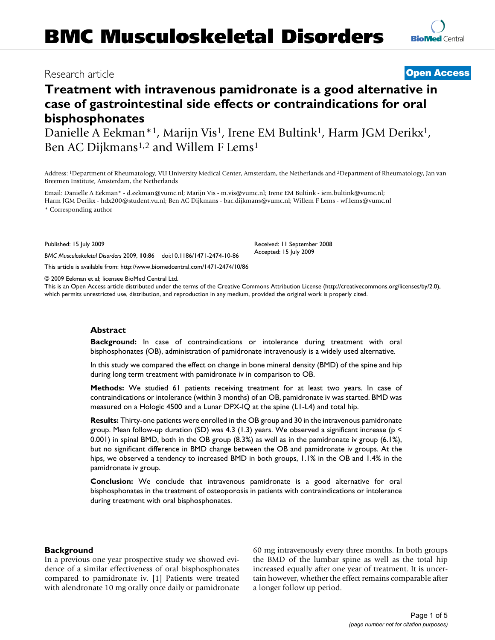# Research article **[Open Access](http://www.biomedcentral.com/info/about/charter/)**

# **Treatment with intravenous pamidronate is a good alternative in case of gastrointestinal side effects or contraindications for oral bisphosphonates**

Danielle A Eekman<sup>\*1</sup>, Marijn Vis<sup>1</sup>, Irene EM Bultink<sup>1</sup>, Harm JGM Derikx<sup>1</sup>, Ben AC Dijkmans<sup>1,2</sup> and Willem F Lems<sup>1</sup>

Address: 1Department of Rheumatology, VU University Medical Center, Amsterdam, the Netherlands and 2Department of Rheumatology, Jan van Breemen Institute, Amsterdam, the Netherlands

Email: Danielle A Eekman\* - d.eekman@vumc.nl; Marijn Vis - m.vis@vumc.nl; Irene EM Bultink - iem.bultink@vumc.nl; Harm JGM Derikx - hdx200@student.vu.nl; Ben AC Dijkmans - bac.dijkmans@vumc.nl; Willem F Lems - wf.lems@vumc.nl \* Corresponding author

Published: 15 July 2009

*BMC Musculoskeletal Disorders* 2009, **10**:86 doi:10.1186/1471-2474-10-86

[This article is available from: http://www.biomedcentral.com/1471-2474/10/86](http://www.biomedcentral.com/1471-2474/10/86)

© 2009 Eekman et al; licensee BioMed Central Ltd.

This is an Open Access article distributed under the terms of the Creative Commons Attribution License [\(http://creativecommons.org/licenses/by/2.0\)](http://creativecommons.org/licenses/by/2.0), which permits unrestricted use, distribution, and reproduction in any medium, provided the original work is properly cited.

Received: 11 September 2008 Accepted: 15 July 2009

#### **Abstract**

**Background:** In case of contraindications or intolerance during treatment with oral bisphosphonates (OB), administration of pamidronate intravenously is a widely used alternative.

In this study we compared the effect on change in bone mineral density (BMD) of the spine and hip during long term treatment with pamidronate iv in comparison to OB.

**Methods:** We studied 61 patients receiving treatment for at least two years. In case of contraindications or intolerance (within 3 months) of an OB, pamidronate iv was started. BMD was measured on a Hologic 4500 and a Lunar DPX-IQ at the spine (L1-L4) and total hip.

**Results:** Thirty-one patients were enrolled in the OB group and 30 in the intravenous pamidronate group. Mean follow-up duration (SD) was 4.3 (1.3) years. We observed a significant increase ( $p \le$ 0.001) in spinal BMD, both in the OB group (8.3%) as well as in the pamidronate iv group (6.1%), but no significant difference in BMD change between the OB and pamidronate iv groups. At the hips, we observed a tendency to increased BMD in both groups, 1.1% in the OB and 1.4% in the pamidronate iv group.

**Conclusion:** We conclude that intravenous pamidronate is a good alternative for oral bisphosphonates in the treatment of osteoporosis in patients with contraindications or intolerance during treatment with oral bisphosphonates.

#### **Background**

In a previous one year prospective study we showed evidence of a similar effectiveness of oral bisphosphonates compared to pamidronate iv. [1] Patients were treated with alendronate 10 mg orally once daily or pamidronate 60 mg intravenously every three months. In both groups the BMD of the lumbar spine as well as the total hip increased equally after one year of treatment. It is uncertain however, whether the effect remains comparable after a longer follow up period.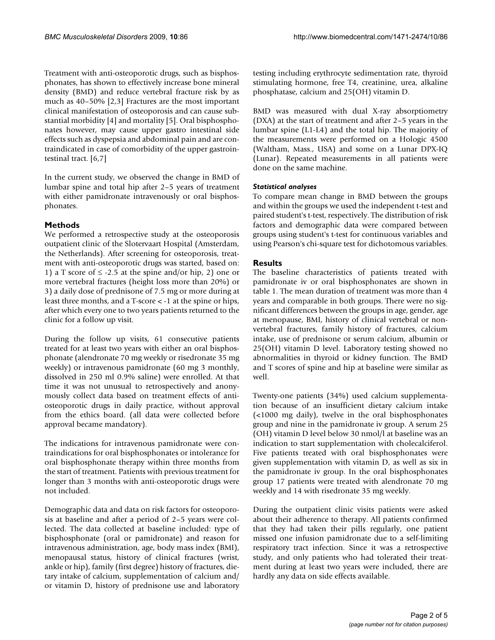Treatment with anti-osteoporotic drugs, such as bisphosphonates, has shown to effectively increase bone mineral density (BMD) and reduce vertebral fracture risk by as much as 40–50% [2,3] Fractures are the most important clinical manifestation of osteoporosis and can cause substantial morbidity [4] and mortality [5]. Oral bisphosphonates however, may cause upper gastro intestinal side effects such as dyspepsia and abdominal pain and are contraindicated in case of comorbidity of the upper gastrointestinal tract. [6,7]

In the current study, we observed the change in BMD of lumbar spine and total hip after 2–5 years of treatment with either pamidronate intravenously or oral bisphosphonates.

# **Methods**

We performed a retrospective study at the osteoporosis outpatient clinic of the Slotervaart Hospital (Amsterdam, the Netherlands). After screening for osteoporosis, treatment with anti-osteoporotic drugs was started, based on: 1) a T score of  $\leq$  -2.5 at the spine and/or hip, 2) one or more vertebral fractures (height loss more than 20%) or 3) a daily dose of prednisone of 7.5 mg or more during at least three months, and a T-score < -1 at the spine or hips, after which every one to two years patients returned to the clinic for a follow up visit.

During the follow up visits, 61 consecutive patients treated for at least two years with either an oral bisphosphonate (alendronate 70 mg weekly or risedronate 35 mg weekly) or intravenous pamidronate (60 mg 3 monthly, dissolved in 250 ml 0.9% saline) were enrolled. At that time it was not unusual to retrospectively and anonymously collect data based on treatment effects of antiosteoporotic drugs in daily practice, without approval from the ethics board. (all data were collected before approval became mandatory).

The indications for intravenous pamidronate were contraindications for oral bisphosphonates or intolerance for oral bisphosphonate therapy within three months from the start of treatment. Patients with previous treatment for longer than 3 months with anti-osteoporotic drugs were not included.

Demographic data and data on risk factors for osteoporosis at baseline and after a period of 2–5 years were collected. The data collected at baseline included: type of bisphosphonate (oral or pamidronate) and reason for intravenous administration, age, body mass index (BMI), menopausal status, history of clinical fractures (wrist, ankle or hip), family (first degree) history of fractures, dietary intake of calcium, supplementation of calcium and/ or vitamin D, history of prednisone use and laboratory testing including erythrocyte sedimentation rate, thyroid stimulating hormone, free T4, creatinine, urea, alkaline phosphatase, calcium and 25(OH) vitamin D.

BMD was measured with dual X-ray absorptiometry (DXA) at the start of treatment and after 2–5 years in the lumbar spine (L1-L4) and the total hip. The majority of the measurements were performed on a Hologic 4500 (Waltham, Mass., USA) and some on a Lunar DPX-IQ (Lunar). Repeated measurements in all patients were done on the same machine.

### *Statistical analyses*

To compare mean change in BMD between the groups and within the groups we used the independent t-test and paired student's t-test, respectively. The distribution of risk factors and demographic data were compared between groups using student's t-test for continuous variables and using Pearson's chi-square test for dichotomous variables.

# **Results**

The baseline characteristics of patients treated with pamidronate iv or oral bisphosphonates are shown in table 1. The mean duration of treatment was more than 4 years and comparable in both groups. There were no significant differences between the groups in age, gender, age at menopause, BMI, history of clinical vertebral or nonvertebral fractures, family history of fractures, calcium intake, use of prednisone or serum calcium, albumin or 25(OH) vitamin D level. Laboratory testing showed no abnormalities in thyroid or kidney function. The BMD and T scores of spine and hip at baseline were similar as well.

Twenty-one patients (34%) used calcium supplementation because of an insufficient dietary calcium intake (<1000 mg daily), twelve in the oral bisphosphonates group and nine in the pamidronate iv group. A serum 25 (OH) vitamin D level below 30 nmol/l at baseline was an indication to start supplementation with cholecalciferol. Five patients treated with oral bisphosphonates were given supplementation with vitamin D, as well as six in the pamidronate iv group. In the oral bisphosphonates group 17 patients were treated with alendronate 70 mg weekly and 14 with risedronate 35 mg weekly.

During the outpatient clinic visits patients were asked about their adherence to therapy. All patients confirmed that they had taken their pills regularly, one patient missed one infusion pamidronate due to a self-limiting respiratory tract infection. Since it was a retrospective study, and only patients who had tolerated their treatment during at least two years were included, there are hardly any data on side effects available.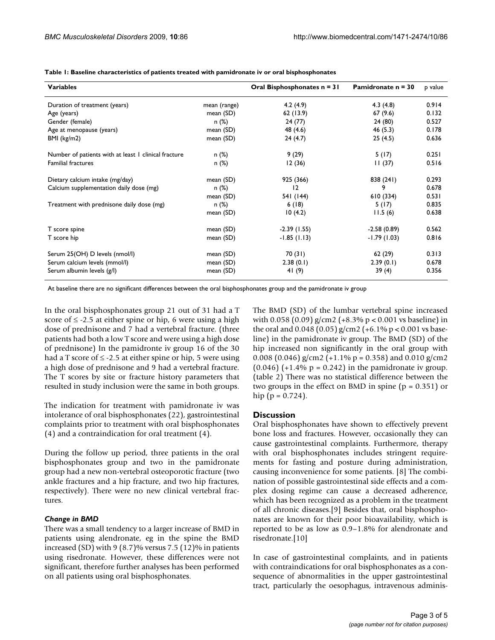| <b>Variables</b>                                     |              | Oral Bisphosphonates n = 31 | Pamidronate n = 30 | p value |
|------------------------------------------------------|--------------|-----------------------------|--------------------|---------|
| Duration of treatment (years)                        | mean (range) | 4.2(4.9)                    | 4.3(4.8)           | 0.914   |
| Age (years)                                          | mean $(SD)$  | 62 (13.9)                   | 67 (9.6)           | 0.132   |
| Gender (female)                                      | n (%)        | 24(77)                      | 24 (80)            | 0.527   |
| Age at menopause (years)                             | mean $(SD)$  | 48 (4.6)                    | 46 (5.3)           | 0.178   |
| BMI (kg/m2)                                          | mean $(SD)$  | 24(4.7)                     | 25(4.5)            | 0.636   |
| Number of patients with at least 1 clinical fracture | n (%)        | 9(29)                       | 5(17)              | 0.251   |
| <b>Familial fractures</b>                            | n (%)        | 12(36)                      | 11(37)             | 0.516   |
| Dietary calcium intake (mg/day)                      | mean $(SD)$  | 925 (366)                   | 838 (241)          | 0.293   |
| Calcium supplementation daily dose (mg)              | n (%)        | 12                          | 9                  | 0.678   |
|                                                      | mean $(SD)$  | 541 (144)                   | 610 (334)          | 0.531   |
| Treatment with prednisone daily dose (mg)            | n (%)        | 6(18)                       | 5(17)              | 0.835   |
|                                                      | mean (SD)    | 10(4.2)                     | 11.5(6)            | 0.638   |
| T score spine                                        | mean (SD)    | $-2.39(1.55)$               | $-2.58(0.89)$      | 0.562   |
| T score hip                                          | mean $(SD)$  | $-1.85(1.13)$               | $-1.79(1.03)$      | 0.816   |
| Serum 25(OH) D levels (nmol/l)                       | mean $(SD)$  | 70 (31)                     | 62(29)             | 0.313   |
| Serum calcium levels (mmol/l)                        | mean $(SD)$  | 2.38(0.1)                   | 2.39(0.1)          | 0.678   |
| Serum albumin levels (g/l)                           | mean $(SD)$  | 41 $(9)$                    | 39(4)              | 0.356   |

**Table 1: Baseline characteristics of patients treated with pamidronate iv or oral bisphosphonates**

At baseline there are no significant differences between the oral bisphosphonates group and the pamidronate iv group

In the oral bisphosphonates group 21 out of 31 had a T score of  $\leq$  -2.5 at either spine or hip, 6 were using a high dose of prednisone and 7 had a vertebral fracture. (three patients had both a low T score and were using a high dose of prednisone) In the pamidronte iv group 16 of the 30 had a T score of  $\leq$  -2.5 at either spine or hip, 5 were using a high dose of prednisone and 9 had a vertebral fracture. The T scores by site or fracture history parameters that resulted in study inclusion were the same in both groups.

The indication for treatment with pamidronate iv was intolerance of oral bisphosphonates (22), gastrointestinal complaints prior to treatment with oral bisphosphonates (4) and a contraindication for oral treatment (4).

During the follow up period, three patients in the oral bisphosphonates group and two in the pamidronate group had a new non-vertebral osteoporotic fracture (two ankle fractures and a hip fracture, and two hip fractures, respectively). There were no new clinical vertebral fractures.

#### *Change in BMD*

There was a small tendency to a larger increase of BMD in patients using alendronate, eg in the spine the BMD increased (SD) with 9 (8.7)% versus 7.5 (12)% in patients using risedronate. However, these differences were not significant, therefore further analyses has been performed on all patients using oral bisphosphonates.

The BMD (SD) of the lumbar vertebral spine increased with 0.058 (0.09) g/cm2 (+8.3% p < 0.001 vs baseline) in the oral and 0.048 (0.05)  $g/cm2$  (+6.1% p < 0.001 vs baseline) in the pamidronate iv group. The BMD (SD) of the hip increased non significantly in the oral group with 0.008 (0.046) g/cm2 (+1.1% p = 0.358) and 0.010 g/cm2 (0.046)  $(+1.4\% p = 0.242)$  in the pamidronate iv group. (table 2) There was no statistical difference between the two groups in the effect on BMD in spine  $(p = 0.351)$  or hip ( $p = 0.724$ ).

#### **Discussion**

Oral bisphosphonates have shown to effectively prevent bone loss and fractures. However, occasionally they can cause gastrointestinal complaints. Furthermore, therapy with oral bisphosphonates includes stringent requirements for fasting and posture during administration, causing inconvenience for some patients. [8] The combination of possible gastrointestinal side effects and a complex dosing regime can cause a decreased adherence, which has been recognized as a problem in the treatment of all chronic diseases.[9] Besides that, oral bisphosphonates are known for their poor bioavailability, which is reported to be as low as 0.9–1.8% for alendronate and risedronate.[10]

In case of gastrointestinal complaints, and in patients with contraindications for oral bisphosphonates as a consequence of abnormalities in the upper gastrointestinal tract, particularly the oesophagus, intravenous adminis-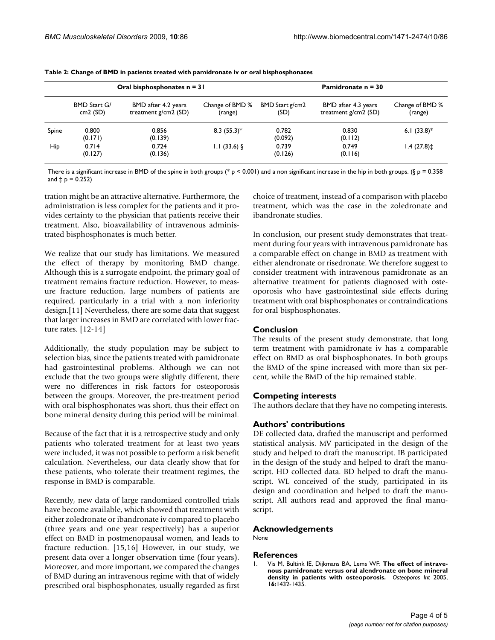|       | Oral bisphosphonates $n = 31$  |                                               |                            |                         | Pamidronate $n = 30$                          |                            |  |
|-------|--------------------------------|-----------------------------------------------|----------------------------|-------------------------|-----------------------------------------------|----------------------------|--|
|       | <b>BMD Start G/</b><br>cm2(SD) | BMD after 4.2 years<br>treatment $g/cm2$ (SD) | Change of BMD %<br>(range) | BMD Start g/cm2<br>(SD) | BMD after 4.3 years<br>treatment $g/cm2$ (SD) | Change of BMD %<br>(range) |  |
| Spine | 0.800<br>(0.171)               | 0.856<br>(0.139)                              | $8.3(55.3)*$               | 0.782<br>(0.092)        | 0.830<br>(0.112)                              | 6.1 $(33.8)$ <sup>*</sup>  |  |
| Hip   | 0.714<br>(0.127)               | 0.724<br>(0.136)                              | 1.1(33.6)                  | 0.739<br>(0.126)        | 0.749<br>(0.116)                              | $1.4(27.8)$ :              |  |

| Table 2: Change of BMD in patients treated with pamidronate iv or oral bisphosphonates |  |  |  |
|----------------------------------------------------------------------------------------|--|--|--|
|----------------------------------------------------------------------------------------|--|--|--|

There is a significant increase in BMD of the spine in both groups (\* p < 0.001) and a non significant increase in the hip in both groups. (§ p = 0.358 and  $\ddagger$  p = 0.252)

tration might be an attractive alternative. Furthermore, the administration is less complex for the patients and it provides certainty to the physician that patients receive their treatment. Also, bioavailability of intravenous administrated bisphosphonates is much better.

We realize that our study has limitations. We measured the effect of therapy by monitoring BMD change. Although this is a surrogate endpoint, the primary goal of treatment remains fracture reduction. However, to measure fracture reduction, large numbers of patients are required, particularly in a trial with a non inferiority design.[11] Nevertheless, there are some data that suggest that larger increases in BMD are correlated with lower fracture rates. [12-14]

Additionally, the study population may be subject to selection bias, since the patients treated with pamidronate had gastrointestinal problems. Although we can not exclude that the two groups were slightly different, there were no differences in risk factors for osteoporosis between the groups. Moreover, the pre-treatment period with oral bisphosphonates was short, thus their effect on bone mineral density during this period will be minimal.

Because of the fact that it is a retrospective study and only patients who tolerated treatment for at least two years were included, it was not possible to perform a risk benefit calculation. Nevertheless, our data clearly show that for these patients, who tolerate their treatment regimes, the response in BMD is comparable.

Recently, new data of large randomized controlled trials have become available, which showed that treatment with either zoledronate or ibandronate iv compared to placebo (three years and one year respectively) has a superior effect on BMD in postmenopausal women, and leads to fracture reduction. [15,16] However, in our study, we present data over a longer observation time (four years). Moreover, and more important, we compared the changes of BMD during an intravenous regime with that of widely prescribed oral bisphosphonates, usually regarded as first choice of treatment, instead of a comparison with placebo treatment, which was the case in the zoledronate and ibandronate studies.

In conclusion, our present study demonstrates that treatment during four years with intravenous pamidronate has a comparable effect on change in BMD as treatment with either alendronate or risedronate. We therefore suggest to consider treatment with intravenous pamidronate as an alternative treatment for patients diagnosed with osteoporosis who have gastrointestinal side effects during treatment with oral bisphosphonates or contraindications for oral bisphosphonates.

#### **Conclusion**

The results of the present study demonstrate, that long term treatment with pamidronate iv has a comparable effect on BMD as oral bisphosphonates. In both groups the BMD of the spine increased with more than six percent, while the BMD of the hip remained stable.

#### **Competing interests**

The authors declare that they have no competing interests.

#### **Authors' contributions**

DE collected data, drafted the manuscript and performed statistical analysis. MV participated in the design of the study and helped to draft the manuscript. IB participated in the design of the study and helped to draft the manuscript. HD collected data. BD helped to draft the manuscript. WL conceived of the study, participated in its design and coordination and helped to draft the manuscript. All authors read and approved the final manuscript.

#### **Acknowledgements**

None

#### **References**

1. Vis M, Bultink IE, Dijkmans BA, Lems WF: **[The effect of intrave](http://www.ncbi.nlm.nih.gov/entrez/query.fcgi?cmd=Retrieve&db=PubMed&dopt=Abstract&list_uids=15883662)[nous pamidronate versus oral alendronate on bone mineral](http://www.ncbi.nlm.nih.gov/entrez/query.fcgi?cmd=Retrieve&db=PubMed&dopt=Abstract&list_uids=15883662) [density in patients with osteoporosis.](http://www.ncbi.nlm.nih.gov/entrez/query.fcgi?cmd=Retrieve&db=PubMed&dopt=Abstract&list_uids=15883662)** *Osteoporos Int* 2005, **16:**1432-1435.